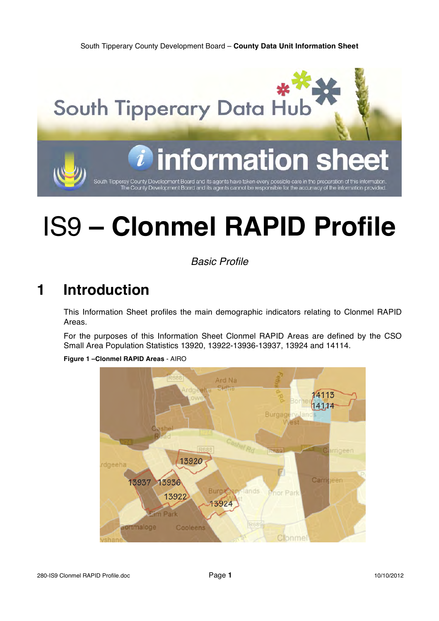

# IS9 **– Clonmel RAPID Profile**

*Basic Profile*

# **1 Introduction**

This Information Sheet profiles the main demographic indicators relating to Clonmel RAPID Areas.

For the purposes of this Information Sheet Clonmel RAPID Areas are defined by the CSO Small Area Population Statistics 13920, 13922-13936-13937, 13924 and 14114.

**Figure 1 –Clonmel RAPID Areas** - AIRO

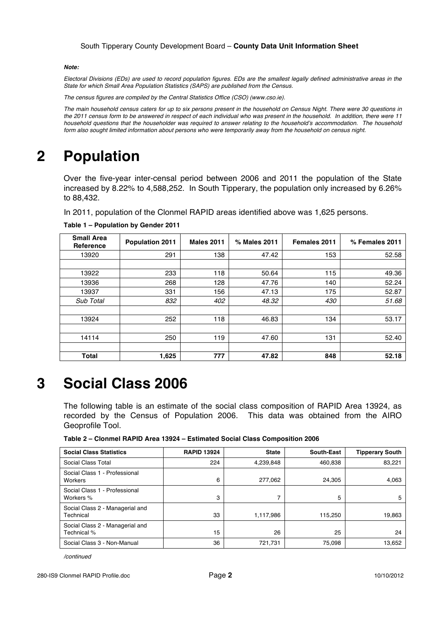#### *Note:*

*Electoral Divisions (EDs) are used to record population figures. EDs are the smallest legally defined administrative areas in the State for which Small Area Population Statistics (SAPS) are published from the Census.*

*The census figures are compiled by the Central Statistics Office (CSO) (www.cso.ie).*

*The main household census caters for up to six persons present in the household on Census Night. There were 30 questions in the 2011 census form to be answered in respect of each individual who was present in the household. In addition, there were 11 household questions that the householder was required to answer relating to the household's accommodation. The household form also sought limited information about persons who were temporarily away from the household on census night.*

# **2 Population**

Over the five-year inter-censal period between 2006 and 2011 the population of the State increased by 8.22% to 4,588,252. In South Tipperary, the population only increased by 6.26% to 88,432.

In 2011, population of the Clonmel RAPID areas identified above was 1,625 persons.

| <b>Small Area</b><br>Reference | <b>Population 2011</b> | <b>Males 2011</b> | % Males 2011 | Females 2011 | % Females 2011 |
|--------------------------------|------------------------|-------------------|--------------|--------------|----------------|
| 13920                          | 291                    | 138               | 47.42        | 153          | 52.58          |
|                                |                        |                   |              |              |                |
| 13922                          | 233                    | 118               | 50.64        | 115          | 49.36          |
| 13936                          | 268                    | 128               | 47.76        | 140          | 52.24          |
| 13937                          | 331                    | 156               | 47.13        | 175          | 52.87          |
| Sub Total                      | 832                    | 402               | 48.32        | 430          | 51.68          |
|                                |                        |                   |              |              |                |
| 13924                          | 252                    | 118               | 46.83        | 134          | 53.17          |
|                                |                        |                   |              |              |                |
| 14114                          | 250                    | 119               | 47.60        | 131          | 52.40          |
|                                |                        |                   |              |              |                |
| <b>Total</b>                   | 1,625                  | 777               | 47.82        | 848          | 52.18          |

**Table 1 – Population by Gender 2011**

# **3 Social Class 2006**

The following table is an estimate of the social class composition of RAPID Area 13924, as recorded by the Census of Population 2006. This data was obtained from the AIRO Geoprofile Tool.

**Table 2 – Clonmel RAPID Area 13924 – Estimated Social Class Composition 2006**

| <b>Social Class Statistics</b>                 | <b>RAPID 13924</b> | <b>State</b> | South-East | <b>Tipperary South</b> |
|------------------------------------------------|--------------------|--------------|------------|------------------------|
| Social Class Total                             | 224                | 4,239,848    | 460.838    | 83,221                 |
| Social Class 1 - Professional<br>Workers       | 6                  | 277,062      | 24,305     | 4,063                  |
| Social Class 1 - Professional<br>Workers %     | 3                  |              | 5          | 5                      |
| Social Class 2 - Managerial and<br>Technical   | 33                 | 1,117,986    | 115,250    | 19,863                 |
| Social Class 2 - Managerial and<br>Technical % | 15                 | 26           | 25         | 24                     |
| Social Class 3 - Non-Manual                    | 36                 | 721,731      | 75.098     | 13,652                 |

*/continued*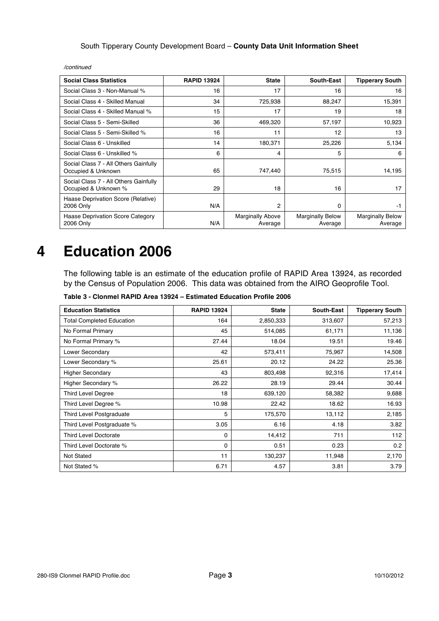| <b>Social Class Statistics</b>                                | <b>RAPID 13924</b> | <b>State</b>                       | South-East                         | <b>Tipperary South</b>             |
|---------------------------------------------------------------|--------------------|------------------------------------|------------------------------------|------------------------------------|
| Social Class 3 - Non-Manual %                                 | 16                 | 17                                 | 16                                 | 16                                 |
| Social Class 4 - Skilled Manual                               | 34                 | 725,938                            | 88,247                             | 15,391                             |
| Social Class 4 - Skilled Manual %                             | 15                 | 17                                 | 19                                 | 18                                 |
| Social Class 5 - Semi-Skilled                                 | 36                 | 469,320                            | 57,197                             | 10,923                             |
| Social Class 5 - Semi-Skilled %                               | 16                 | 11                                 | 12                                 | 13                                 |
| Social Class 6 - Unskilled                                    | 14                 | 180,371                            | 25,226                             | 5,134                              |
| Social Class 6 - Unskilled %                                  | 6                  | 4                                  | 5                                  | 6                                  |
| Social Class 7 - All Others Gainfully<br>Occupied & Unknown   | 65                 | 747,440                            | 75,515                             | 14,195                             |
| Social Class 7 - All Others Gainfully<br>Occupied & Unknown % | 29                 | 18                                 | 16                                 | 17                                 |
| Haase Deprivation Score (Relative)<br>2006 Only               | N/A                | $\overline{2}$                     | 0                                  | -1                                 |
| Haase Deprivation Score Category<br>2006 Only                 | N/A                | <b>Marginally Above</b><br>Average | <b>Marginally Below</b><br>Average | <b>Marginally Below</b><br>Average |

*/continued*

## **4 Education 2006**

The following table is an estimate of the education profile of RAPID Area 13924, as recorded by the Census of Population 2006. This data was obtained from the AIRO Geoprofile Tool.

**Table 3 - Clonmel RAPID Area 13924 – Estimated Education Profile 2006**

| <b>Education Statistics</b>      | <b>RAPID 13924</b> | <b>State</b> | <b>South-East</b> | <b>Tipperary South</b> |
|----------------------------------|--------------------|--------------|-------------------|------------------------|
| <b>Total Completed Education</b> | 164                | 2,850,333    | 313,607           | 57,213                 |
| No Formal Primary                | 45                 | 514,085      | 61,171            | 11,136                 |
| No Formal Primary %              | 27.44              | 18.04        | 19.51             | 19.46                  |
| Lower Secondary                  | 42                 | 573,411      | 75,967            | 14,508                 |
| Lower Secondary %                | 25.61              | 20.12        | 24.22             | 25.36                  |
| <b>Higher Secondary</b>          | 43                 | 803,498      | 92,316            | 17,414                 |
| Higher Secondary %               | 26.22              | 28.19        | 29.44             | 30.44                  |
| <b>Third Level Degree</b>        | 18                 | 639,120      | 58,382            | 9,688                  |
| Third Level Degree %             | 10.98              | 22.42        | 18.62             | 16.93                  |
| <b>Third Level Postgraduate</b>  | 5                  | 175,570      | 13,112            | 2,185                  |
| Third Level Postgraduate %       | 3.05               | 6.16         | 4.18              | 3.82                   |
| <b>Third Level Doctorate</b>     | 0                  | 14,412       | 711               | 112                    |
| Third Level Doctorate %          | 0                  | 0.51         | 0.23              | 0.2                    |
| Not Stated                       | 11                 | 130,237      | 11,948            | 2,170                  |
| Not Stated %                     | 6.71               | 4.57         | 3.81              | 3.79                   |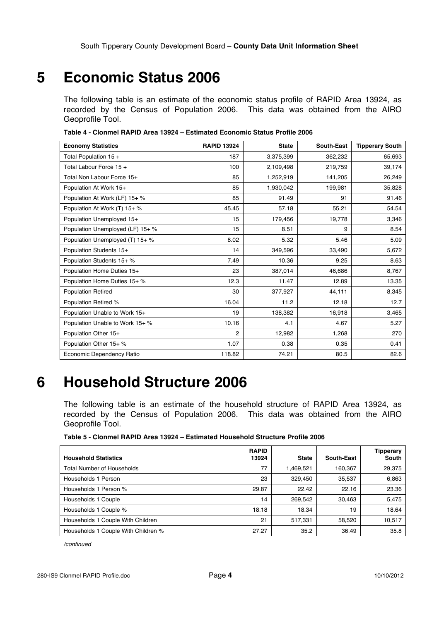### **5 Economic Status 2006**

The following table is an estimate of the economic status profile of RAPID Area 13924, as recorded by the Census of Population 2006. This data was obtained from the AIRO Geoprofile Tool.

| <b>Economy Statistics</b>        | <b>RAPID 13924</b> | <b>State</b> | <b>South-East</b> | <b>Tipperary South</b> |
|----------------------------------|--------------------|--------------|-------------------|------------------------|
| Total Population 15 +            | 187                | 3,375,399    | 362,232           | 65,693                 |
| Total Labour Force 15 +          | 100                | 2,109,498    | 219,759           | 39,174                 |
| Total Non Labour Force 15+       | 85                 | 1,252,919    | 141,205           | 26,249                 |
| Population At Work 15+           | 85                 | 1,930,042    | 199,981           | 35,828                 |
| Population At Work (LF) 15+ %    | 85                 | 91.49        | 91                | 91.46                  |
| Population At Work (T) 15+ %     | 45.45              | 57.18        | 55.21             | 54.54                  |
| Population Unemployed 15+        | 15                 | 179,456      | 19,778            | 3,346                  |
| Population Unemployed (LF) 15+ % | 15                 | 8.51         | 9                 | 8.54                   |
| Population Unemployed (T) 15+ %  | 8.02               | 5.32         | 5.46              | 5.09                   |
| Population Students 15+          | 14                 | 349,596      | 33,490            | 5,672                  |
| Population Students 15+ %        | 7.49               | 10.36        | 9.25              | 8.63                   |
| Population Home Duties 15+       | 23                 | 387,014      | 46,686            | 8,767                  |
| Population Home Duties 15+ %     | 12.3               | 11.47        | 12.89             | 13.35                  |
| <b>Population Retired</b>        | 30                 | 377,927      | 44,111            | 8,345                  |
| Population Retired %             | 16.04              | 11.2         | 12.18             | 12.7                   |
| Population Unable to Work 15+    | 19                 | 138,382      | 16,918            | 3,465                  |
| Population Unable to Work 15+ %  | 10.16              | 4.1          | 4.67              | 5.27                   |
| Population Other 15+             | $\overline{2}$     | 12,982       | 1,268             | 270                    |
| Population Other 15+ %           | 1.07               | 0.38         | 0.35              | 0.41                   |
| Economic Dependency Ratio        | 118.82             | 74.21        | 80.5              | 82.6                   |

**Table 4 - Clonmel RAPID Area 13924 – Estimated Economic Status Profile 2006**

### **6 Household Structure 2006**

The following table is an estimate of the household structure of RAPID Area 13924, as recorded by the Census of Population 2006. This data was obtained from the AIRO Geoprofile Tool.

**Table 5 - Clonmel RAPID Area 13924 – Estimated Household Structure Profile 2006**

| <b>Household Statistics</b>         | <b>RAPID</b><br>13924 | <b>State</b> | South-East | Tipperary<br>South |
|-------------------------------------|-----------------------|--------------|------------|--------------------|
| <b>Total Number of Households</b>   | 77                    | 1,469,521    | 160,367    | 29,375             |
| Households 1 Person                 | 23                    | 329.450      | 35,537     | 6,863              |
| Households 1 Person %               | 29.87                 | 22.42        | 22.16      | 23.36              |
| Households 1 Couple                 | 14                    | 269.542      | 30.463     | 5,475              |
| Households 1 Couple %               | 18.18                 | 18.34        | 19         | 18.64              |
| Households 1 Couple With Children   | 21                    | 517.331      | 58.520     | 10.517             |
| Households 1 Couple With Children % | 27.27                 | 35.2         | 36.49      | 35.8               |

*/continued*